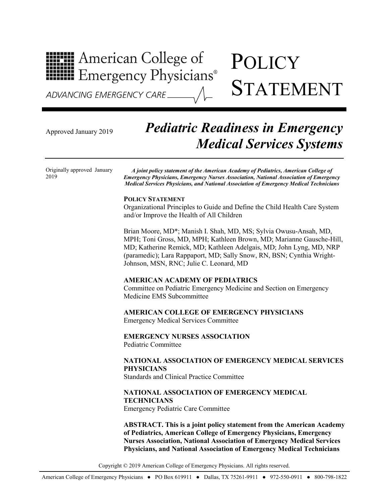

# **POLICY** STATEMENT

ADVANCING EMERGENCY CARE  $\_\_\_\_/\_\_$ 

# Approved January 2019 *Pediatric Readiness in Emergency Medical Services Systems*

Originally approved January 2019

*A joint policy statement of the American Academy of Pediatrics, American College of Emergency Physicians, Emergency Nurses Association, National Association of Emergency Medical Services Physicians, and National Association of Emergency Medical Technicians*

#### **POLICY STATEMENT**

Organizational Principles to Guide and Define the Child Health Care System and/or Improve the Health of All Children

Brian Moore, MD\*; Manish I. Shah, MD, MS; Sylvia Owusu-Ansah, MD, MPH; Toni Gross, MD, MPH; Kathleen Brown, MD; Marianne Gausche-Hill, MD; Katherine Remick, MD; Kathleen Adelgais, MD; John Lyng, MD, NRP (paramedic); Lara Rappaport, MD; Sally Snow, RN, BSN; Cynthia Wright-Johnson, MSN, RNC; Julie C. Leonard, MD

#### **AMERICAN ACADEMY OF PEDIATRICS**

Committee on Pediatric Emergency Medicine and Section on Emergency Medicine EMS Subcommittee

**AMERICAN COLLEGE OF EMERGENCY PHYSICIANS** Emergency Medical Services Committee

**EMERGENCY NURSES ASSOCIATION** Pediatric Committee

**NATIONAL ASSOCIATION OF EMERGENCY MEDICAL SERVICES PHYSICIANS** Standards and Clinical Practice Committee

#### **NATIONAL ASSOCIATION OF EMERGENCY MEDICAL TECHNICIANS** Emergency Pediatric Care Committee

**ABSTRACT. This is a joint policy statement from the American Academy of Pediatrics, American College of Emergency Physicians, Emergency Nurses Association, National Association of Emergency Medical Services Physicians, and National Association of Emergency Medical Technicians**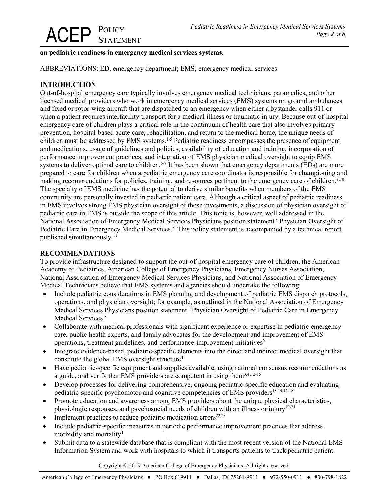#### **on pediatric readiness in emergency medical services systems.**

STATEMENT

ABBREVIATIONS: ED, emergency department; EMS, emergency medical services.

#### **INTRODUCTION**

ACFP POLICY

Out-of-hospital emergency care typically involves emergency medical technicians, paramedics, and other licensed medical providers who work in emergency medical services (EMS) systems on ground ambulances and fixed or rotor-wing aircraft that are dispatched to an emergency when either a bystander calls 911 or when a patient requires interfacility transport for a medical illness or traumatic injury. Because out-of-hospital emergency care of children plays a critical role in the continuum of health care that also involves primary prevention, hospital-based acute care, rehabilitation, and return to the medical home, the unique needs of children must be addressed by EMS systems.<sup>1-5</sup> Pediatric readiness encompasses the presence of equipment and medications, usage of guidelines and policies, availability of education and training, incorporation of performance improvement practices, and integration of EMS physician medical oversight to equip EMS systems to deliver optimal care to children.<sup>6-8</sup> It has been shown that emergency departments (EDs) are more prepared to care for children when a pediatric emergency care coordinator is responsible for championing and making recommendations for policies, training, and resources pertinent to the emergency care of children.<sup>9,10</sup> The specialty of EMS medicine has the potential to derive similar benefits when members of the EMS community are personally invested in pediatric patient care. Although a critical aspect of pediatric readiness in EMS involves strong EMS physician oversight of these investments, a discussion of physician oversight of pediatric care in EMS is outside the scope of this article. This topic is, however, well addressed in the National Association of Emergency Medical Services Physicians position statement "Physician Oversight of Pediatric Care in Emergency Medical Services." This policy statement is accompanied by a technical report published simultaneously. $11$ 

#### **RECOMMENDATIONS**

To provide infrastructure designed to support the out-of-hospital emergency care of children, the American Academy of Pediatrics, American College of Emergency Physicians, Emergency Nurses Association, National Association of Emergency Medical Services Physicians, and National Association of Emergency Medical Technicians believe that EMS systems and agencies should undertake the following:

- Include pediatric considerations in EMS planning and development of pediatric EMS dispatch protocols, operations, and physician oversight; for example, as outlined in the National Association of Emergency Medical Services Physicians position statement "Physician Oversight of Pediatric Care in Emergency Medical Services"<sup>1</sup>
- Collaborate with medical professionals with significant experience or expertise in pediatric emergency care, public health experts, and family advocates for the development and improvement of EMS operations, treatment guidelines, and performance improvement initiatives<sup>2</sup>
- Integrate evidence-based, pediatric-specific elements into the direct and indirect medical oversight that constitute the global EMS oversight structure4
- Have pediatric-specific equipment and supplies available, using national consensus recommendations as a guide, and verify that EMS providers are competent in using them<sup>3</sup>,4,12-<sup>15</sup>
- Develop processes for delivering comprehensive, ongoing pediatric-specific education and evaluating pediatric-specific psychomotor and cognitive competencies of EMS providers<sup>13,14,16-18</sup>
- Promote education and awareness among EMS providers about the unique physical characteristics, physiologic responses, and psychosocial needs of children with an illness or injury<sup>19-21</sup>
- Implement practices to reduce pediatric medication errors $22,23$
- Include pediatric-specific measures in periodic performance improvement practices that address morbidity and mortality<sup>4</sup>
- Submit data to a statewide database that is compliant with the most recent version of the National EMS Information System and work with hospitals to which it transports patients to track pediatric patient-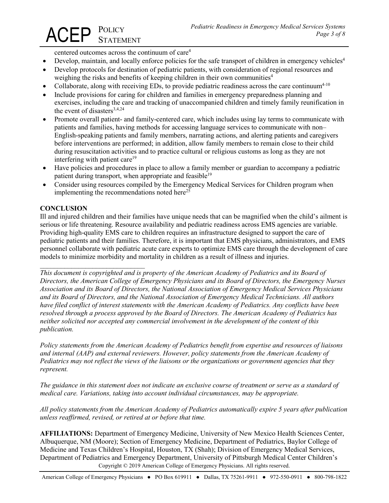centered outcomes across the continuum of care4

STATEMENT

ACFP POLICY

- Develop, maintain, and locally enforce policies for the safe transport of children in emergency vehicles<sup>4</sup>
- Develop protocols for destination of pediatric patients, with consideration of regional resources and weighing the risks and benefits of keeping children in their own communities<sup>4</sup>
- Collaborate, along with receiving EDs, to provide pediatric readiness across the care continuum<sup>4-10</sup>
- Include provisions for caring for children and families in emergency preparedness planning and exercises, including the care and tracking of unaccompanied children and timely family reunification in the event of disasters<sup>3,4,24</sup>
- Promote overall patient- and family-centered care, which includes using lay terms to communicate with patients and families, having methods for accessing language services to communicate with non– English-speaking patients and family members, narrating actions, and alerting patients and caregivers before interventions are performed; in addition, allow family members to remain close to their child during resuscitation activities and to practice cultural or religious customs as long as they are not interfering with patient care $19$
- Have policies and procedures in place to allow a family member or guardian to accompany a pediatric patient during transport, when appropriate and feasible<sup>19</sup>
- Consider using resources compiled by the Emergency Medical Services for Children program when implementing the recommendations noted here $^{25}$

#### **CONCLUSION**

Ill and injured children and their families have unique needs that can be magnified when the child's ailment is serious or life threatening. Resource availability and pediatric readiness across EMS agencies are variable. Providing high-quality EMS care to children requires an infrastructure designed to support the care of pediatric patients and their families. Therefore, it is important that EMS physicians, administrators, and EMS personnel collaborate with pediatric acute care experts to optimize EMS care through the development of care models to minimize morbidity and mortality in children as a result of illness and injuries.

*\_\_\_\_\_\_\_\_\_\_\_\_\_\_\_\_\_\_\_\_\_\_\_\_\_\_\_\_\_\_ This document is copyrighted and is property of the American Academy of Pediatrics and its Board of Directors, the American College of Emergency Physicians and its Board of Directors, the Emergency Nurses Association and its Board of Directors, the National Association of Emergency Medical Services Physicians and its Board of Directors, and the National Association of Emergency Medical Technicians. All authors have filed conflict of interest statements with the American Academy of Pediatrics. Any conflicts have been resolved through a process approved by the Board of Directors. The American Academy of Pediatrics has neither solicited nor accepted any commercial involvement in the development of the content of this publication.*

*Policy statements from the American Academy of Pediatrics benefit from expertise and resources of liaisons and internal (AAP) and external reviewers. However, policy statements from the American Academy of Pediatrics may not reflect the views of the liaisons or the organizations or government agencies that they represent.*

*The guidance in this statement does not indicate an exclusive course of treatment or serve as a standard of medical care. Variations, taking into account individual circumstances, may be appropriate.*

*All policy statements from the American Academy of Pediatrics automatically expire 5 years after publication unless reaffirmed, revised, or retired at or before that time.*

Copyright © 2019 American College of Emergency Physicians. All rights reserved. **AFFILIATIONS:** Department of Emergency Medicine, University of New Mexico Health Sciences Center, Albuquerque, NM (Moore); Section of Emergency Medicine, Department of Pediatrics, Baylor College of Medicine and Texas Children's Hospital, Houston, TX (Shah); Division of Emergency Medical Services, Department of Pediatrics and Emergency Department, University of Pittsburgh Medical Center Children's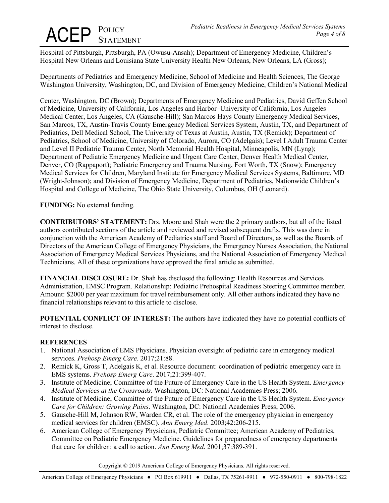Hospital of Pittsburgh, Pittsburgh, PA (Owusu-Ansah); Department of Emergency Medicine, Children's Hospital New Orleans and Louisiana State University Health New Orleans, New Orleans, LA (Gross);

Departments of Pediatrics and Emergency Medicine, School of Medicine and Health Sciences, The George Washington University, Washington, DC, and Division of Emergency Medicine, Children's National Medical

Center, Washington, DC (Brown); Departments of Emergency Medicine and Pediatrics, David Geffen School of Medicine, University of California, Los Angeles and Harbor–University of California, Los Angeles Medical Center, Los Angeles, CA (Gausche-Hill); San Marcos Hays County Emergency Medical Services, San Marcos, TX, Austin-Travis County Emergency Medical Services System, Austin, TX, and Department of Pediatrics, Dell Medical School, The University of Texas at Austin, Austin, TX (Remick); Department of Pediatrics, School of Medicine, University of Colorado, Aurora, CO (Adelgais); Level I Adult Trauma Center and Level II Pediatric Trauma Center, North Memorial Health Hospital, Minneapolis, MN (Lyng); Department of Pediatric Emergency Medicine and Urgent Care Center, Denver Health Medical Center, Denver, CO (Rappaport); Pediatric Emergency and Trauma Nursing, Fort Worth, TX (Snow); Emergency Medical Services for Children, Maryland Institute for Emergency Medical Services Systems, Baltimore, MD (Wright-Johnson); and Division of Emergency Medicine, Department of Pediatrics, Nationwide Children's Hospital and College of Medicine, The Ohio State University, Columbus, OH (Leonard).

**FUNDING:** No external funding.

**CONTRIBUTORS' STATEMENT:** Drs. Moore and Shah were the 2 primary authors, but all of the listed authors contributed sections of the article and reviewed and revised subsequent drafts. This was done in conjunction with the American Academy of Pediatrics staff and Board of Directors, as well as the Boards of Directors of the American College of Emergency Physicians, the Emergency Nurses Association, the National Association of Emergency Medical Services Physicians, and the National Association of Emergency Medical Technicians. All of these organizations have approved the final article as submitted.

**FINANCIAL DISCLOSURE:** Dr. Shah has disclosed the following: Health Resources and Services Administration, EMSC Program. Relationship: Pediatric Prehospital Readiness Steering Committee member. Amount: \$2000 per year maximum for travel reimbursement only. All other authors indicated they have no financial relationships relevant to this article to disclose.

**POTENTIAL CONFLICT OF INTEREST:** The authors have indicated they have no potential conflicts of interest to disclose.

#### **REFERENCES**

- 1. National Association of EMS Physicians. Physician oversight of pediatric care in emergency medical services. *Prehosp Emerg Care*. 2017;21:88.
- 2. Remick K, Gross T, Adelgais K, et al. Resource document: coordination of pediatric emergency care in EMS systems. *Prehosp Emerg Care*. 2017;21:399-407.
- 3. Institute of Medicine; Committee of the Future of Emergency Care in the US Health System. *Emergency Medical Services at the Crossroads*. Washington, DC: National Academies Press; 2006.
- 4. Institute of Medicine; Committee of the Future of Emergency Care in the US Health System. *Emergency Care for Children: Growing Pains*. Washington, DC: National Academies Press; 2006.
- 5. Gausche-Hill M, Johnson RW, Warden CR, et al. The role of the emergency physician in emergency medical services for children (EMSC). *Ann Emerg Med*. 2003;42:206-215.
- 6. American College of Emergency Physicians, Pediatric Committee; American Academy of Pediatrics, Committee on Pediatric Emergency Medicine. Guidelines for preparedness of emergency departments that care for children: a call to action. *Ann Emerg Med*. 2001;37:389-391.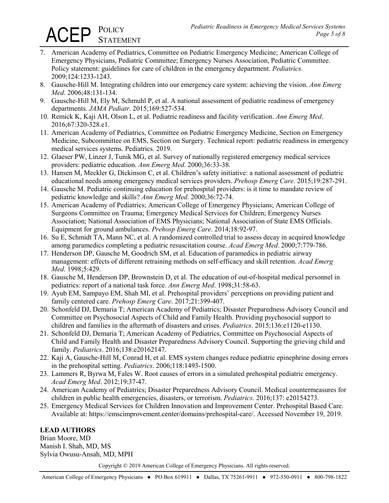### ACFP POLICY STATEMENT

- 7. American Academy of Pediatrics, Committee on Pediatric Emergency Medicine; American College of Emergency Physicians, Pediatric Committee; Emergency Nurses Association, Pediatric Committee. Policy statement: guidelines for care of children in the emergency department. *Pediatrics*. 2009;124:1233-1243.
- 8. Gausche-Hill M. Integrating children into our emergency care system: achieving the vision. *Ann Emerg Med*. 2006;48:131-134.
- 9. Gausche-Hill M, Ely M, Schmuhl P, et al. A national assessment of pediatric readiness of emergency departments. *JAMA Pediatr*. 2015;169:527-534.
- 10. Remick K, Kaji AH, Olson L, et al. Pediatric readiness and facility verification. *Ann Emerg Med*. 2016;67:320-328.e1.
- 11. American Academy of Pediatrics, Committee on Pediatric Emergency Medicine, Section on Emergency Medicine, Subcommittee on EMS, Section on Surgery. Technical report: pediatric readiness in emergency medical services systems. Pediatrics. 2019.
- 12. Glaeser PW, Linzer J, Tunik MG, et al. Survey of nationally registered emergency medical services providers: pediatric education. *Ann Emerg Med*. 2000;36:33-38.
- 13. Hansen M, Meckler G, Dickinson C, et al. Children's safety initiative: a national assessment of pediatric educational needs among emergency medical services providers. *Prehosp Emerg Care*. 2015;19:287-291.
- 14. Gausche M. Pediatric continuing education for prehospital providers: is it time to mandate review of pediatric knowledge and skills? *Ann Emerg Med*. 2000;36:72-74.
- 15. American Academy of Pediatrics; American College of Emergency Physicians; American College of Surgeons Committee on Trauma; Emergency Medical Services for Children; Emergency Nurses Association; National Association of EMS Physicians; National Association of State EMS Officials. Equipment for ground ambulances. *Prehosp Emerg Care*. 2014;18:92-97.
- 16. Su E, Schmidt TA, Mann NC, et al. A randomized controlled trial to assess decay in acquired knowledge among paramedics completing a pediatric resuscitation course. *Acad Emerg Med*. 2000;7:779-786.
- 17. Henderson DP, Gausche M, Goodrich SM, et al. Education of paramedics in pediatric airway management: effects of different retraining methods on self-efficacy and skill retention. *Acad Emerg Med*. 1998;5:429.
- 18. Gausche M, Henderson DP, Brownstein D, et al. The education of out-of-hospital medical personnel in pediatrics: report of a national task force. *Ann Emerg Med*. 1998;31:58-63.
- 19. Ayub EM, Sampayo EM, Shah MI, et al. Prehospital providers' perceptions on providing patient and family centered care. *Prehosp Emerg Care*. 2017;21:399-407.
- 20. Schonfeld DJ, Demaria T; American Academy of Pediatrics; Disaster Preparedness Advisory Council and Committee on Psychosocial Aspects of Child and Family Health. Providing psychosocial support to children and families in the aftermath of disasters and crises. *Pediatrics*. 2015;136:e1120-e1130.
- 21. Schonfeld DJ, Demaria T; American Academy of Pediatrics, Committee on Psychosocial Aspects of Child and Family Health and Disaster Preparedness Advisory Council. Supporting the grieving child and family. *Pediatrics*. 2016;138:e20162147.
- 22. Kaji A, Gausche-Hill M, Conrad H, et al. EMS system changes reduce pediatric epinephrine dosing errors in the prehospital setting. *Pediatrics*. 2006;118:1493-1500.
- 23. Lammers R, Byrwa M, Fales W. Root causes of errors in a simulated prehospital pediatric emergency. *Acad Emerg Med*. 2012;19:37-47.
- 24. American Academy of Pediatrics; Disaster Preparedness Advisory Council. Medical countermeasures for children in public health emergencies, disasters, or terrorism. *Pediatrics*. 2016;137: e20154273.
- 25. Emergency Medical Services for Children Innovation and Improvement Center. Prehospital Based Care. Available at: https://emscimprovement.center/domains/prehospital-care/. Accessed November 19, 2019.

#### **LEAD AUTHORS**

Brian Moore, MD Manish I. Shah, MD, MS Sylvia Owusu-Ansah, MD, MPH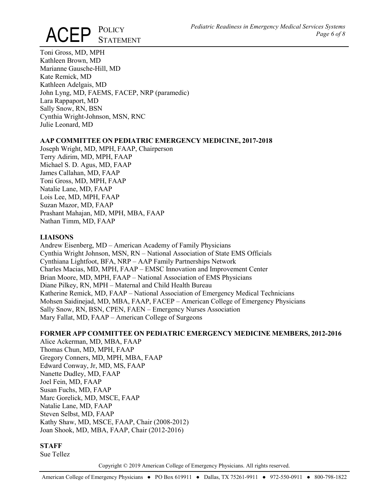# ACFP POLICY STATEMENT

Toni Gross, MD, MPH Kathleen Brown, MD Marianne Gausche-Hill, MD Kate Remick, MD Kathleen Adelgais, MD John Lyng, MD, FAEMS, FACEP, NRP (paramedic) Lara Rappaport, MD Sally Snow, RN, BSN Cynthia Wright-Johnson, MSN, RNC Julie Leonard, MD

#### **AAP COMMITTEE ON PEDIATRIC EMERGENCY MEDICINE, 2017-2018**

Joseph Wright, MD, MPH, FAAP, Chairperson Terry Adirim, MD, MPH, FAAP Michael S. D. Agus, MD, FAAP James Callahan, MD, FAAP Toni Gross, MD, MPH, FAAP Natalie Lane, MD, FAAP Lois Lee, MD, MPH, FAAP Suzan Mazor, MD, FAAP Prashant Mahajan, MD, MPH, MBA, FAAP Nathan Timm, MD, FAAP

#### **LIAISONS**

Andrew Eisenberg, MD – American Academy of Family Physicians Cynthia Wright Johnson, MSN, RN – National Association of State EMS Officials Cynthiana Lightfoot, BFA, NRP – AAP Family Partnerships Network Charles Macias, MD, MPH, FAAP – EMSC Innovation and Improvement Center Brian Moore, MD, MPH, FAAP – National Association of EMS Physicians Diane Pilkey, RN, MPH – Maternal and Child Health Bureau Katherine Remick, MD, FAAP – National Association of Emergency Medical Technicians Mohsen Saidinejad, MD, MBA, FAAP, FACEP – American College of Emergency Physicians Sally Snow, RN, BSN, CPEN, FAEN – Emergency Nurses Association Mary Fallat, MD, FAAP – American College of Surgeons

#### **FORMER APP COMMITTEE ON PEDIATRIC EMERGENCY MEDICINE MEMBERS, 2012-2016**

Alice Ackerman, MD, MBA, FAAP Thomas Chun, MD, MPH, FAAP Gregory Conners, MD, MPH, MBA, FAAP Edward Conway, Jr, MD, MS, FAAP Nanette Dudley, MD, FAAP Joel Fein, MD, FAAP Susan Fuchs, MD, FAAP Marc Gorelick, MD, MSCE, FAAP Natalie Lane, MD, FAAP Steven Selbst, MD, FAAP Kathy Shaw, MD, MSCE, FAAP, Chair (2008-2012) Joan Shook, MD, MBA, FAAP, Chair (2012-2016)

#### **STAFF**

Sue Tellez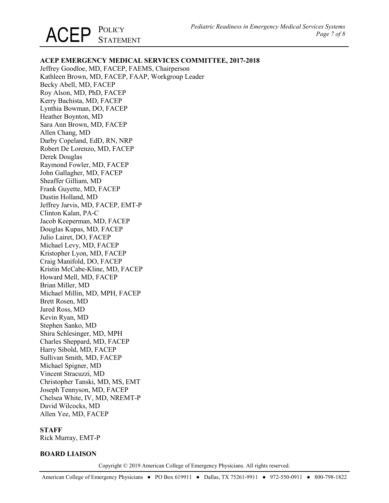## ACEP POLICY **STATEMENT**

**ACEP EMERGENCY MEDICAL SERVICES COMMITTEE, 2017-2018** Jeffrey Goodloe, MD, FACEP, FAEMS, Chairperson Kathleen Brown, MD, FACEP, FAAP, Workgroup Leader Becky Abell, MD, FACEP Roy Alson, MD, PhD, FACEP Kerry Bachista, MD, FACEP Lynthia Bowman, DO, FACEP Heather Boynton, MD Sara Ann Brown, MD, FACEP Allen Chang, MD Darby Copeland, EdD, RN, NRP Robert De Lorenzo, MD, FACEP Derek Douglas Raymond Fowler, MD, FACEP John Gallagher, MD, FACEP Sheaffer Gilliam, MD Frank Guyette, MD, FACEP Dustin Holland, MD Jeffrey Jarvis, MD, FACEP, EMT-P Clinton Kalan, PA-C Jacob Keeperman, MD, FACEP Douglas Kupas, MD, FACEP Julio Lairet, DO, FACEP Michael Levy, MD, FACEP Kristopher Lyon, MD, FACEP Craig Manifold, DO, FACEP Kristin McCabe-Kline, MD, FACEP Howard Mell, MD, FACEP Brian Miller, MD Michael Millin, MD, MPH, FACEP Brett Rosen, MD Jared Ross, MD Kevin Ryan, MD Stephen Sanko, MD Shira Schlesinger, MD, MPH Charles Sheppard, MD, FACEP Harry Sibold, MD, FACEP Sullivan Smith, MD, FACEP Michael Spigner, MD Vincent Stracuzzi, MD Christopher Tanski, MD, MS, EMT Joseph Tennyson, MD, FACEP Chelsea White, IV, MD, NREMT-P David Wilcocks, MD Allen Yee, MD, FACEP

#### **STAFF**

Rick Murray, EMT-P

#### **BOARD LIAISON**